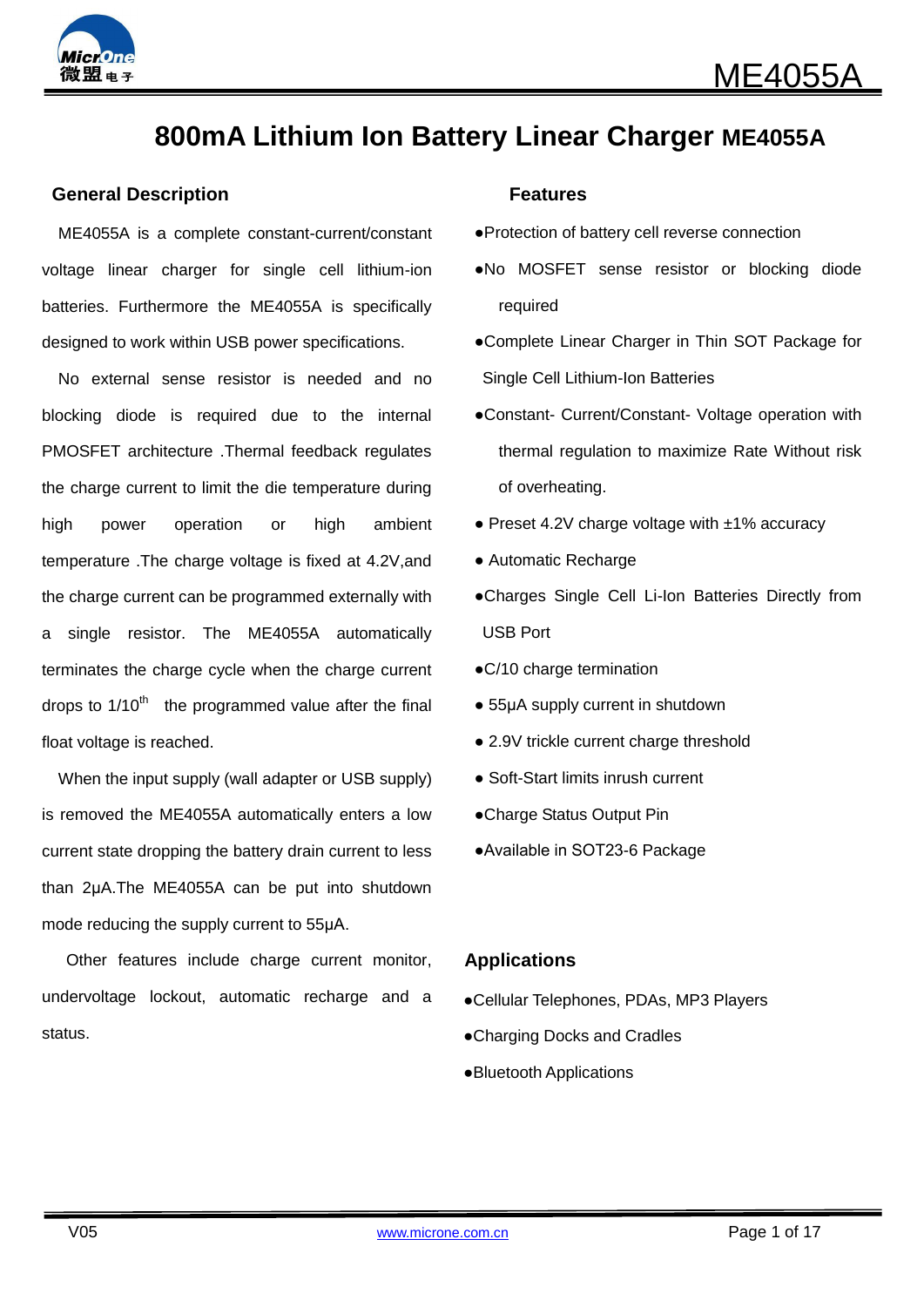

# **800mA Lithium Ion Battery Linear Charger ME4055A**

#### **General Description Community Community Community Community Community Community Community Community Community**

ME4055A is a complete constant-current/constant voltage linear charger for single cell lithium-ion batteries. Furthermore the ME4055A is specifically designed to work within USB power specifications.

No external sense resistor is needed and no blocking diode is required due to the internal PMOSFET architecture .Thermal feedback regulates the charge current to limit the die temperature during high power operation or high ambient temperature .The charge voltage is fixed at 4.2V,and the charge current can be programmed externally with a single resistor. The ME4055A automatically terminates the charge cycle when the charge current drops to  $1/10<sup>th</sup>$  the programmed value after the final float voltage is reached.

When the input supply (wall adapter or USB supply) is removed the ME4055A automatically enters a low current state dropping the battery drain current to less than 2μA.The ME4055A can be put into shutdown mode reducing the supply current to 55μA.

Other features include charge current monitor, undervoltage lockout, automatic recharge and a status.

- ●Protection of battery cell reverse connection
- ●No MOSFET sense resistor or blocking diode required
- ●Complete Linear Charger in Thin SOT Package for Single Cell Lithium-Ion Batteries
- ●Constant- Current/Constant- Voltage operation with thermal regulation to maximize Rate Without risk of overheating.
- $\bullet$  Preset 4.2V charge voltage with  $\pm$ 1% accuracy
- Automatic Recharge
- ●Charges Single Cell Li-Ion Batteries Directly from USB Port
- ●C/10 charge termination
- 55µA supply current in shutdown
- 2.9V trickle current charge threshold
- Soft-Start limits inrush current
- ●Charge Status Output Pin
- ●Available in SOT23-6 Package

#### **Applications**

- ●Cellular Telephones, PDAs, MP3 Players
- ●Charging Docks and Cradles
- ●Bluetooth Applications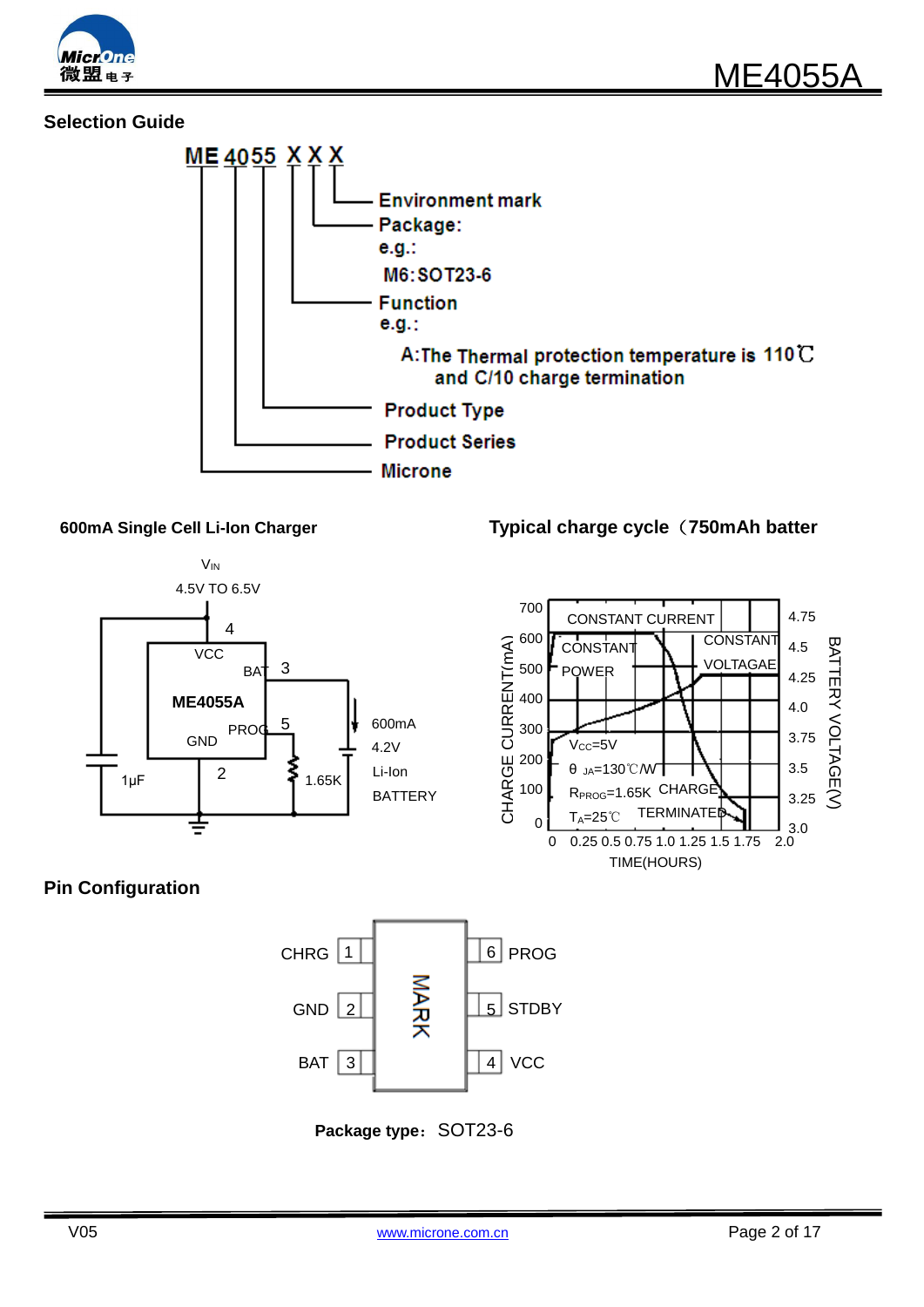

# **Selection Guide**





## **600mA Single Cell Li-Ion Charger Typical charge cycle**(**750mAh batter**



## **Pin Configuration**



**Package type: SOT23-6**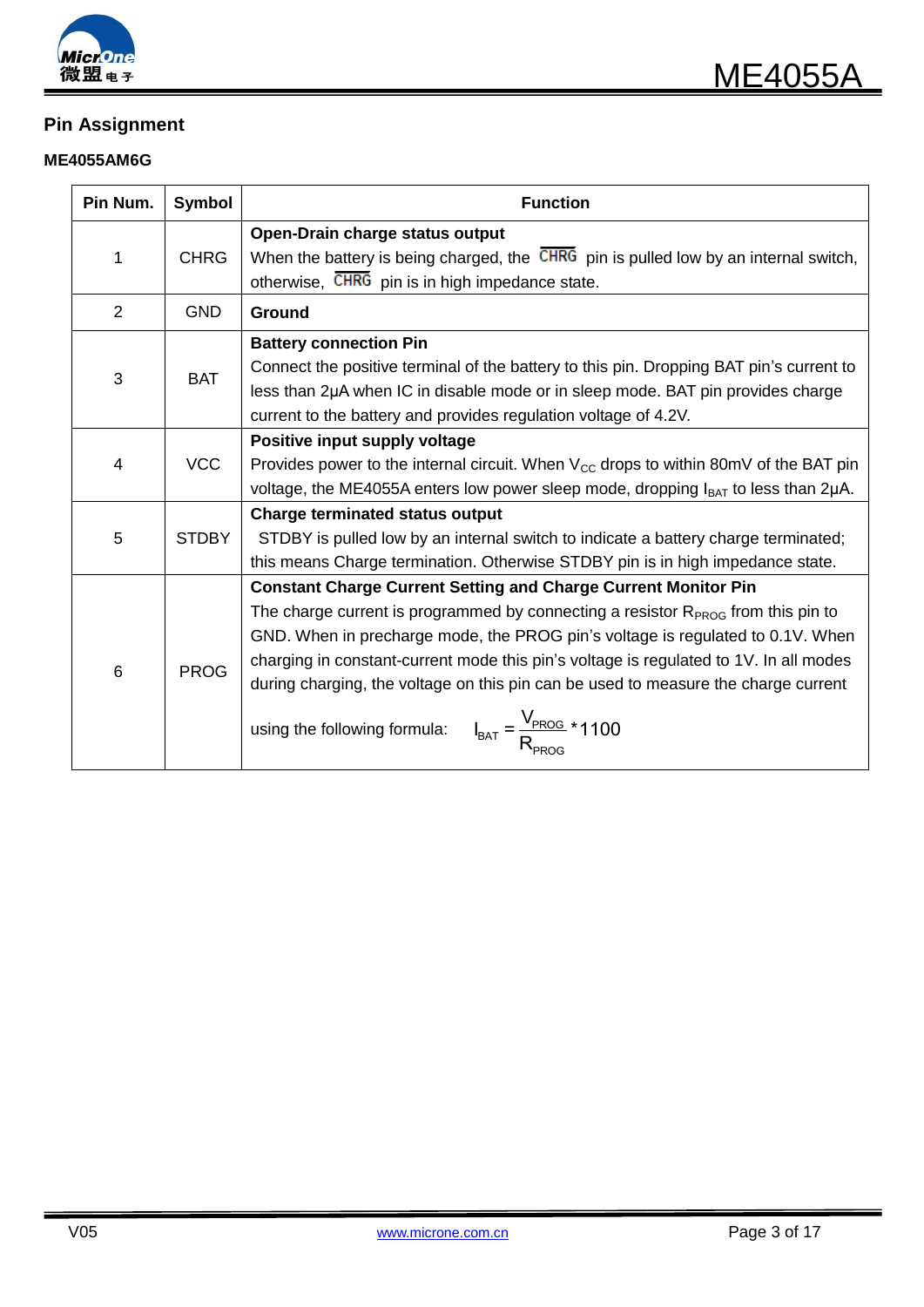

# **Pin Assignment**

### **ME4055AM6G**

| Pin Num.       | <b>Symbol</b> | <b>Function</b>                                                                                                                                                                                                                                                                                                                                                                                                                                                                                       |  |  |  |
|----------------|---------------|-------------------------------------------------------------------------------------------------------------------------------------------------------------------------------------------------------------------------------------------------------------------------------------------------------------------------------------------------------------------------------------------------------------------------------------------------------------------------------------------------------|--|--|--|
| 1              | <b>CHRG</b>   | Open-Drain charge status output<br>When the battery is being charged, the CHRG pin is pulled low by an internal switch,<br>otherwise, CHRG pin is in high impedance state.                                                                                                                                                                                                                                                                                                                            |  |  |  |
| 2              | <b>GND</b>    | Ground                                                                                                                                                                                                                                                                                                                                                                                                                                                                                                |  |  |  |
| 3              | <b>BAT</b>    | <b>Battery connection Pin</b><br>Connect the positive terminal of the battery to this pin. Dropping BAT pin's current to<br>less than 2µA when IC in disable mode or in sleep mode. BAT pin provides charge<br>current to the battery and provides regulation voltage of 4.2V.                                                                                                                                                                                                                        |  |  |  |
| $\overline{4}$ | <b>VCC</b>    | Positive input supply voltage<br>Provides power to the internal circuit. When $V_{\text{cc}}$ drops to within 80mV of the BAT pin<br>voltage, the ME4055A enters low power sleep mode, dropping $I_{BAT}$ to less than $2\mu A$ .                                                                                                                                                                                                                                                                     |  |  |  |
| 5              | <b>STDBY</b>  | <b>Charge terminated status output</b><br>STDBY is pulled low by an internal switch to indicate a battery charge terminated;<br>this means Charge termination. Otherwise STDBY pin is in high impedance state.                                                                                                                                                                                                                                                                                        |  |  |  |
| 6              | <b>PROG</b>   | <b>Constant Charge Current Setting and Charge Current Monitor Pin</b><br>The charge current is programmed by connecting a resistor $RPROG$ from this pin to<br>GND. When in precharge mode, the PROG pin's voltage is regulated to 0.1V. When<br>charging in constant-current mode this pin's voltage is regulated to 1V. In all modes<br>during charging, the voltage on this pin can be used to measure the charge current<br>$I_{BAT} = \frac{V_{PROG}}{R} * 1100$<br>using the following formula: |  |  |  |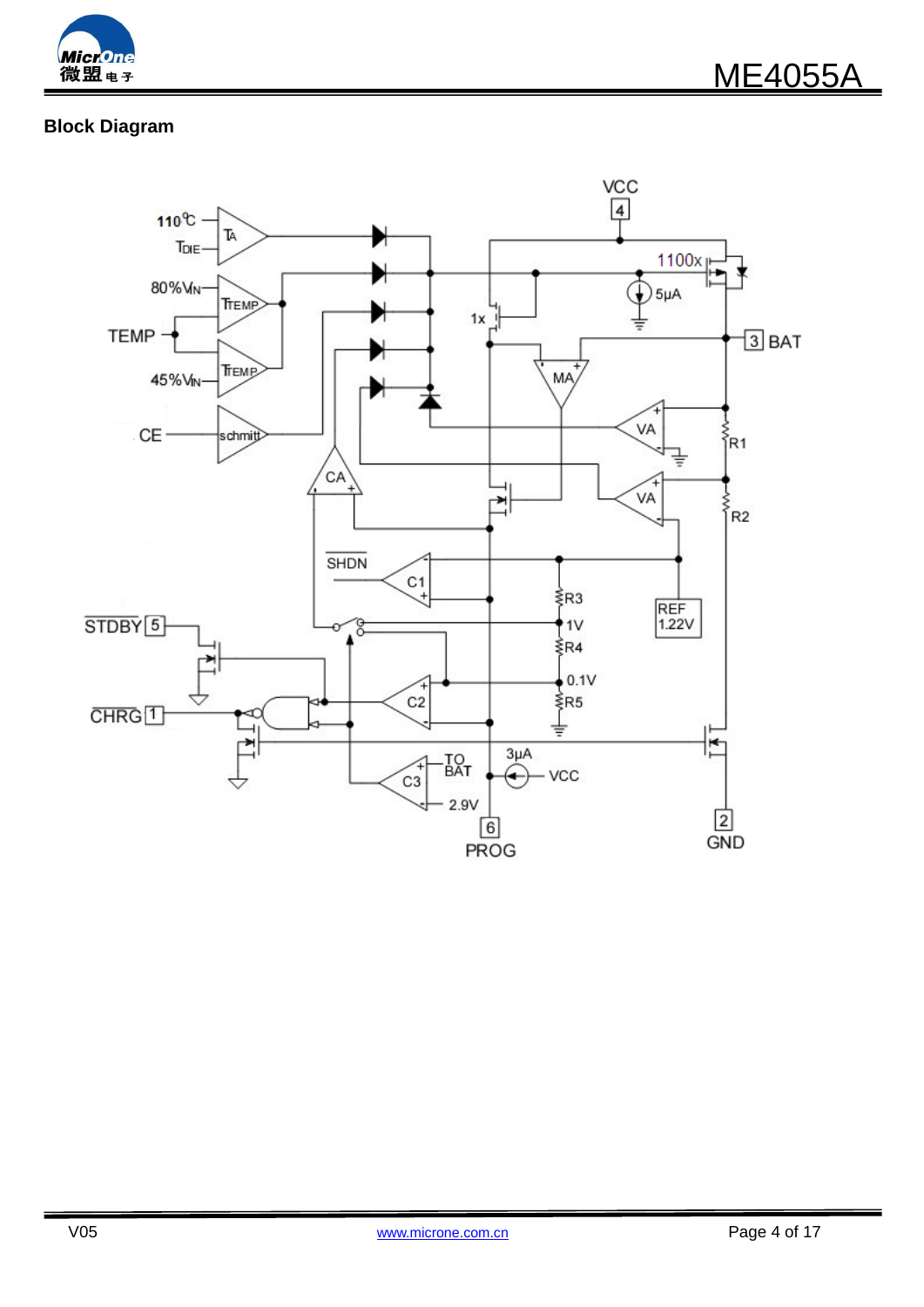

# **Block Diagram**

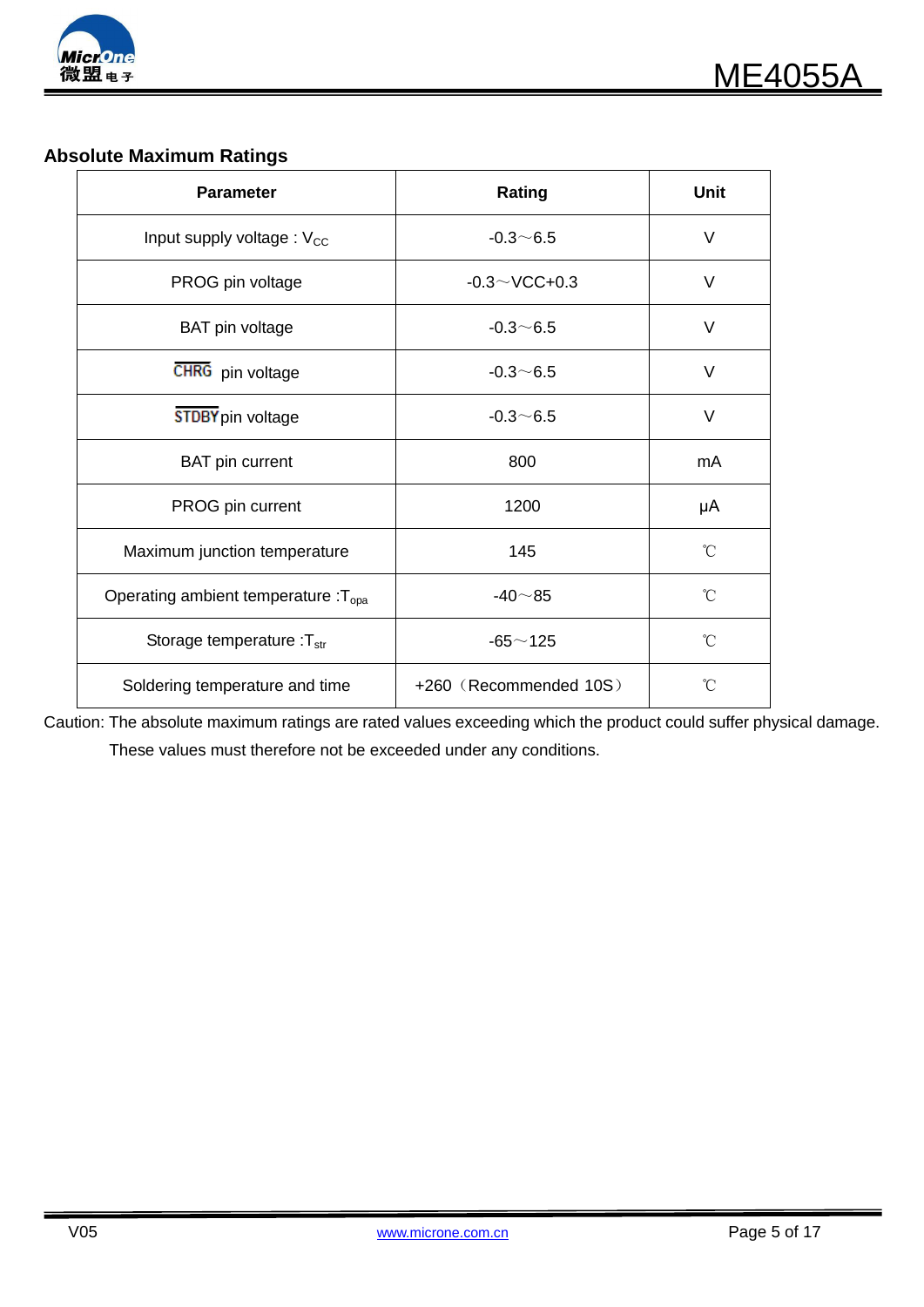

# **Absolute Maximum Ratings**

| <b>Parameter</b>                                 | Rating                 | <b>Unit</b>     |
|--------------------------------------------------|------------------------|-----------------|
| Input supply voltage: V <sub>CC</sub>            | $-0.3 \sim 6.5$        | V               |
| PROG pin voltage                                 | $-0.3 \sim$ VCC+0.3    | V               |
| <b>BAT</b> pin voltage                           | $-0.3 - 6.5$           | V               |
| CHRG pin voltage                                 | $-0.3 - 6.5$           | V               |
| <b>STDBY</b> pin voltage                         | $-0.3 - 6.5$           | $\vee$          |
| <b>BAT</b> pin current                           | 800                    | mA              |
| PROG pin current                                 | 1200                   | μA              |
| Maximum junction temperature                     | 145                    | °C              |
| Operating ambient temperature : $T_{\text{opa}}$ | $-40\neg 85$           | °C              |
| Storage temperature : $T_{str}$                  | $-65 - 125$            | °C              |
| Soldering temperature and time                   | +260 (Recommended 10S) | $\rm ^{\circ}C$ |

Caution: The absolute maximum ratings are rated values exceeding which the product could suffer physical damage. These values must therefore not be exceeded under any conditions.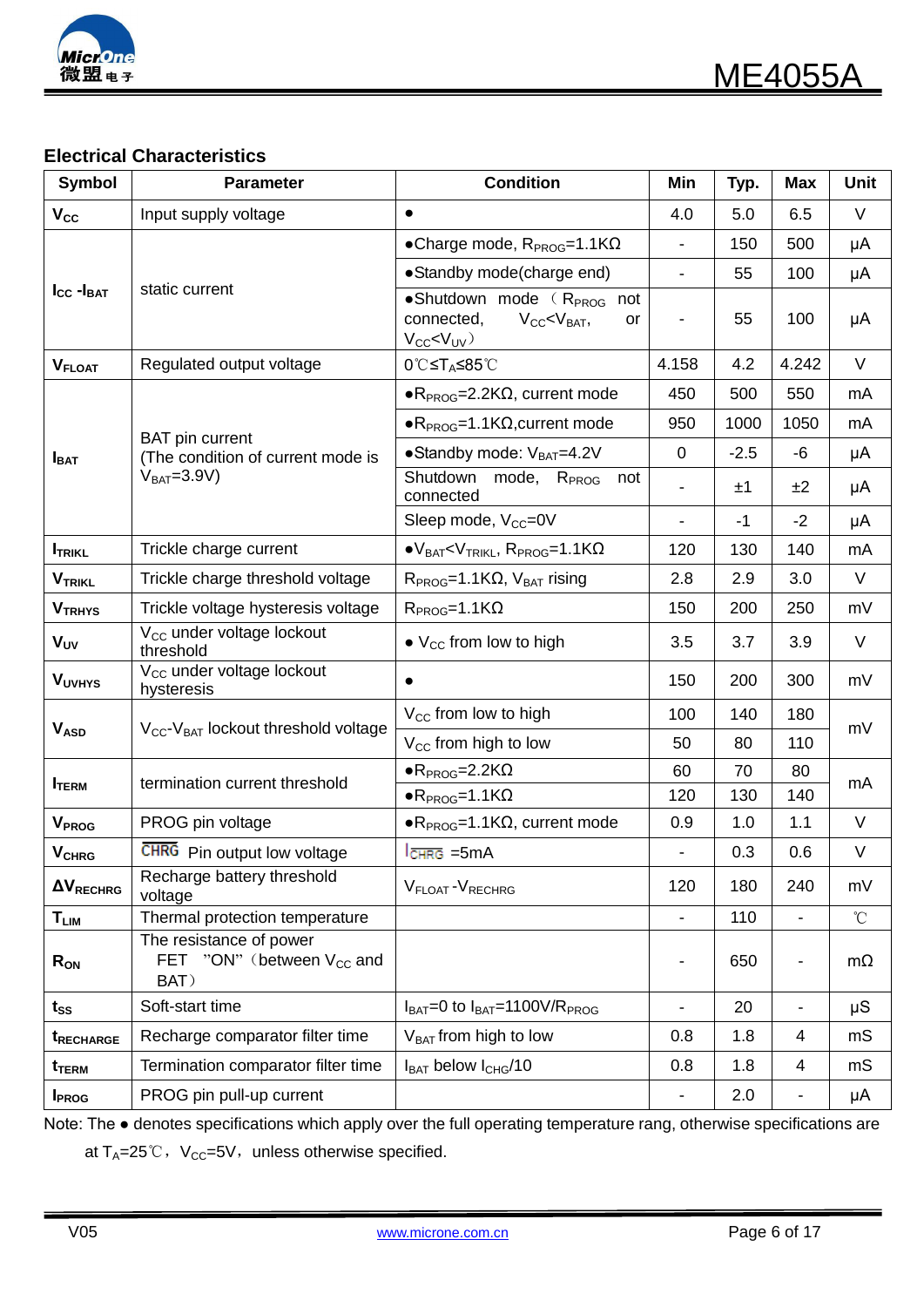

# **Electrical Characteristics**

| <b>Symbol</b>                                                                                                                                   | <b>Parameter</b>                                                  | <b>Condition</b>                                                                                                                                                                                                                                                                                                               | Min                          | Typ.   | <b>Max</b>                   | <b>Unit</b>     |
|-------------------------------------------------------------------------------------------------------------------------------------------------|-------------------------------------------------------------------|--------------------------------------------------------------------------------------------------------------------------------------------------------------------------------------------------------------------------------------------------------------------------------------------------------------------------------|------------------------------|--------|------------------------------|-----------------|
| $V_{\rm CC}$                                                                                                                                    | Input supply voltage                                              | $\bullet$                                                                                                                                                                                                                                                                                                                      | 4.0                          | 5.0    | 6.5                          | $\vee$          |
|                                                                                                                                                 |                                                                   | •Charge mode, $R_{PROG} = 1.1 K\Omega$                                                                                                                                                                                                                                                                                         |                              | 150    | 500                          | μA              |
| $I_{\text{CC}}$ - $I_{\text{BAT}}$<br>$V_{FLOAT}$<br>$I_{\text{BAT}}$<br>$I_{TRIKL}$<br><b>VTRIKL</b><br><b>VTRHYS</b><br><b>V<sub>UV</sub></b> |                                                                   | • Standby mode(charge end)                                                                                                                                                                                                                                                                                                     |                              | 55     | 100                          | μA              |
|                                                                                                                                                 | static current                                                    | $\bullet$ Shutdown mode $(R_{PROG})$<br>not<br>connected,<br>$V_{CC}$ $\lt V_{BAT}$ ,<br>or<br>$V_{CC}$ < $V_{UV}$ )                                                                                                                                                                                                           |                              | 55     | 100                          | μA              |
|                                                                                                                                                 | Regulated output voltage                                          | 0℃≤T <sub>A</sub> ≤85℃                                                                                                                                                                                                                                                                                                         | 4.158                        | 4.2    | 4.242                        | $\vee$          |
|                                                                                                                                                 |                                                                   | $\bullet$ R <sub>PROG</sub> =2.2K $\Omega$ , current mode                                                                                                                                                                                                                                                                      | 450                          | 500    | 550                          | mA              |
|                                                                                                                                                 |                                                                   | $\bullet$ R <sub>PROG</sub> =1.1K $\Omega$ , current mode                                                                                                                                                                                                                                                                      | 950                          | 1000   | 1050                         | mA              |
|                                                                                                                                                 | <b>BAT</b> pin current<br>(The condition of current mode is       | $\bullet$ Standby mode: $V_{BAT}=4.2V$                                                                                                                                                                                                                                                                                         | $\mathbf 0$                  | $-2.5$ | -6                           | μA              |
|                                                                                                                                                 | $V_{BAT} = 3.9V$                                                  | Shutdown<br>mode, R <sub>PROG</sub><br>not<br>connected                                                                                                                                                                                                                                                                        |                              | ±1     | ±2                           | μA              |
|                                                                                                                                                 |                                                                   | Sleep mode, V <sub>CC</sub> =0V                                                                                                                                                                                                                                                                                                | $\overline{\phantom{0}}$     | $-1$   | $-2$                         | μA              |
|                                                                                                                                                 | Trickle charge current                                            | $\bullet$ V <sub>BAT</sub> <v<sub>TRIKL, R<sub>PROG</sub>=1.1K<math>\Omega</math></v<sub>                                                                                                                                                                                                                                      | 120                          | 130    | 140                          | mA              |
|                                                                                                                                                 | Trickle charge threshold voltage                                  | $R_{PROG}$ =1.1K $\Omega$ , $V_{BAT}$ rising                                                                                                                                                                                                                                                                                   | 2.8                          | 2.9    | 3.0                          | $\vee$          |
|                                                                                                                                                 | Trickle voltage hysteresis voltage                                | $R_{PROG} = 1.1 K\Omega$                                                                                                                                                                                                                                                                                                       | 150                          | 200    | 250                          | mV              |
|                                                                                                                                                 | V <sub>CC</sub> under voltage lockout<br>threshold                | $\bullet$ V <sub>CC</sub> from low to high                                                                                                                                                                                                                                                                                     | 3.5                          | 3.7    | 3.9                          | $\vee$          |
| <b>VUVHYS</b>                                                                                                                                   | V <sub>CC</sub> under voltage lockout<br>hysteresis               | $\bullet$                                                                                                                                                                                                                                                                                                                      | 150                          | 200    | 300                          | mV              |
|                                                                                                                                                 | $V_{CC}$ - $V_{BAT}$ lockout threshold voltage                    | $V_{\text{CC}}$ from low to high                                                                                                                                                                                                                                                                                               | 100                          | 140    | 180                          | mV              |
| <b>VASD</b>                                                                                                                                     |                                                                   | V <sub>CC</sub> from high to low                                                                                                                                                                                                                                                                                               | 50                           | 80     | 110                          |                 |
| <b>I</b> TERM                                                                                                                                   | termination current threshold                                     | $\bullet$ R <sub>PROG</sub> =2.2K $\Omega$<br>$\bullet$ R <sub>PROG</sub> =1.1K $\Omega$<br>$\bullet$ R <sub>PROG</sub> =1.1K $\Omega$ , current mode<br>$ICHRG = 5mA$<br>V <sub>FLOAT</sub> -V <sub>RECHRG</sub><br>$I_{BAT} = 0$ to $I_{BAT} = 1100V/R_{PROG}$<br>$V_{BAT}$ from high to low<br>$I_{BAT}$ below $I_{CHG}/10$ | 60                           | 70     | 80                           | mA              |
|                                                                                                                                                 |                                                                   |                                                                                                                                                                                                                                                                                                                                | 120                          | 130    | 140                          |                 |
| V <sub>PROG</sub>                                                                                                                               | PROG pin voltage                                                  |                                                                                                                                                                                                                                                                                                                                | 0.9                          | 1.0    | 1.1                          | $\vee$          |
| <b>V<sub>CHRG</sub></b>                                                                                                                         | <b>CHRG</b> Pin output low voltage                                |                                                                                                                                                                                                                                                                                                                                |                              | 0.3    | 0.6                          | V               |
| $\Delta V_{RECHRG}$                                                                                                                             | Recharge battery threshold<br>voltage                             |                                                                                                                                                                                                                                                                                                                                | 120                          | 180    | 240                          | mV              |
| $\mathsf{T}_{\mathsf{LIM}}$                                                                                                                     | Thermal protection temperature                                    |                                                                                                                                                                                                                                                                                                                                | $\overline{\phantom{0}}$     | 110    | $\overline{\phantom{0}}$     | $\rm ^{\circ}C$ |
| $R_{ON}$                                                                                                                                        | The resistance of power<br>FET "ON" (between $V_{CC}$ and<br>BAT) |                                                                                                                                                                                                                                                                                                                                | $\overline{a}$               | 650    | $\overline{\phantom{a}}$     | $m\Omega$       |
| $t_{SS}$                                                                                                                                        | Soft-start time                                                   |                                                                                                                                                                                                                                                                                                                                | $\overline{a}$               | 20     | $\qquad \qquad \blacksquare$ | μS              |
| <b>t</b> RECHARGE                                                                                                                               | Recharge comparator filter time                                   |                                                                                                                                                                                                                                                                                                                                | 0.8                          | 1.8    | 4                            | mS              |
| t <sub>term</sub>                                                                                                                               | Termination comparator filter time                                |                                                                                                                                                                                                                                                                                                                                | 0.8                          | 1.8    | 4                            | mS              |
| <b>I</b> PROG                                                                                                                                   | PROG pin pull-up current                                          |                                                                                                                                                                                                                                                                                                                                | $\qquad \qquad \blacksquare$ | 2.0    | ۰                            | μA              |

Note: The ● denotes specifications which apply over the full operating temperature rang, otherwise specifications are at  $T_A=25^{\circ}\text{C}$ ,  $V_{CC}=5V$ , unless otherwise specified.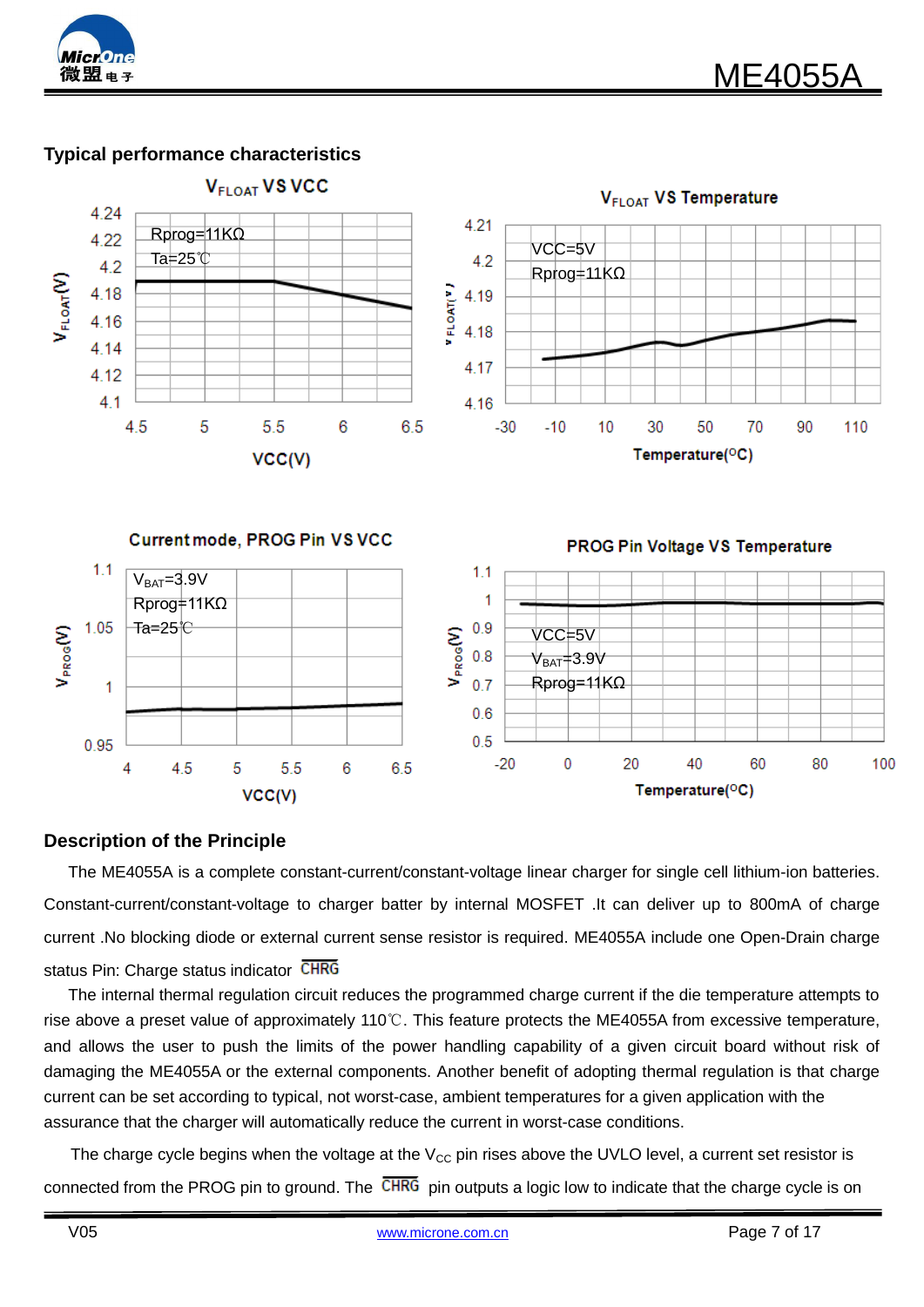

# **Typical performance characteristics**



### **Description of the Principle**

The ME4055A is a complete constant-current/constant-voltage linear charger for single cell lithium-ion batteries. Constant-current/constant-voltage to charger batter by internal MOSFET .It can deliver up to 800mA of charge current .No blocking diode or external current sense resistor is required. ME4055A include one Open-Drain charge status Pin: Charge status indicator CHRG

The internal thermal regulation circuit reduces the programmed charge current if the die temperature attempts to rise above a preset value of approximately 110℃. This feature protects the ME4055A from excessive temperature, and allows the user to push the limits of the power handling capability of a given circuit board without risk of damaging the ME4055A or the external components. Another benefit of adopting thermal regulation is that charge current can be set according to typical, not worst-case, ambient temperatures for a given application with the assurance that the charger will automatically reduce the current in worst-case conditions.

The charge cycle begins when the voltage at the  $V_{CC}$  pin rises above the UVLO level, a current set resistor is connected from the PROG pin to ground. The CHRG pin outputs a logic low to indicate that the charge cycle is on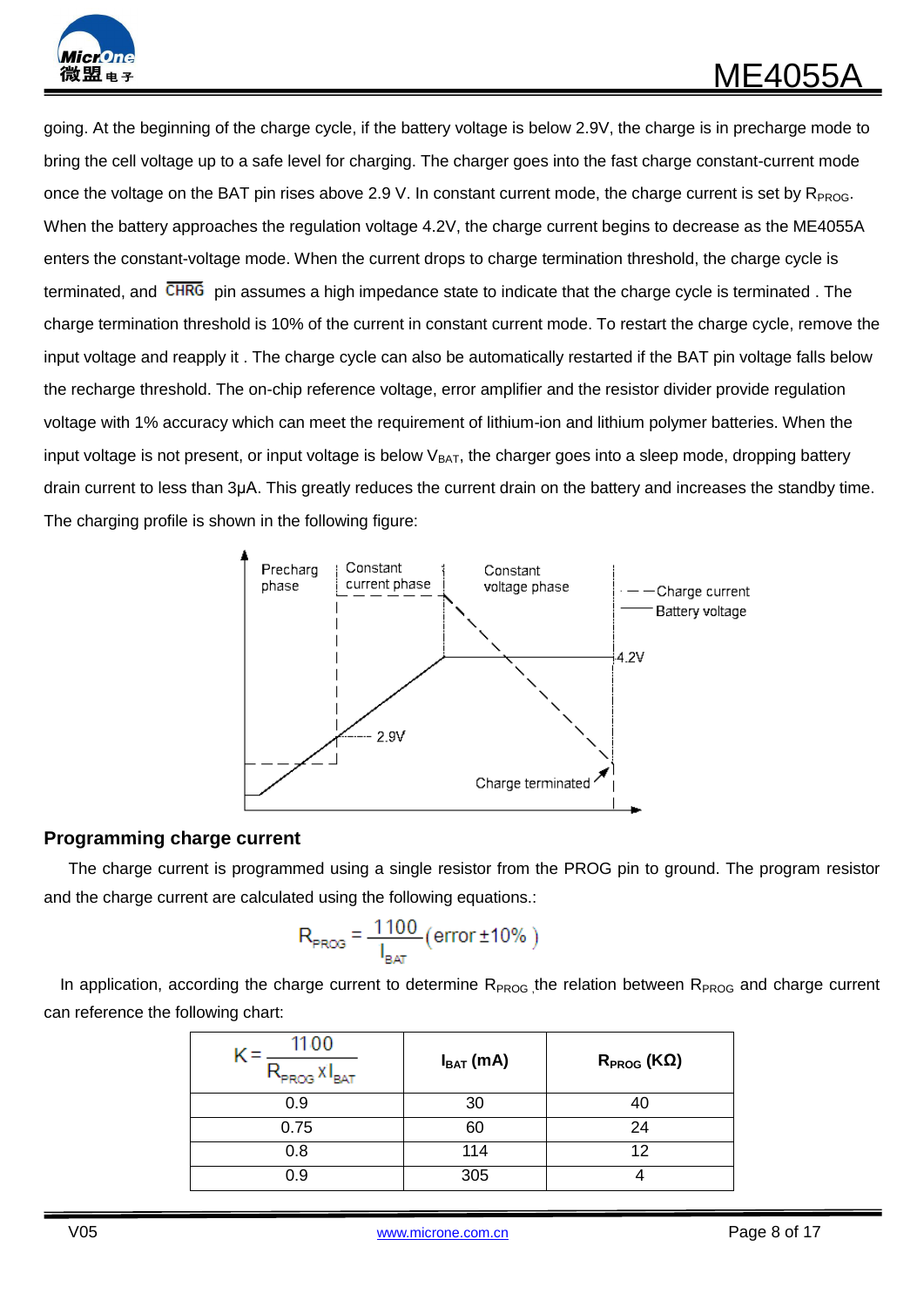

going. At the beginning of the charge cycle, if the battery voltage is below 2.9V, the charge is in precharge mode to bring the cell voltage up to a safe level for charging. The charger goes into the fast charge constant-current mode once the voltage on the BAT pin rises above 2.9 V. In constant current mode, the charge current is set by  $R_{PROG}$ . When the battery approaches the regulation voltage 4.2V, the charge current begins to decrease as the ME4055A enters the constant-voltage mode. When the current drops to charge termination threshold, the charge cycle is terminated, and CHRG pin assumes a high impedance state to indicate that the charge cycle is terminated. The charge termination threshold is 10% of the current in constant current mode. To restart the charge cycle, remove the input voltage and reapply it . The charge cycle can also be automatically restarted if the BAT pin voltage falls below the recharge threshold. The on-chip reference voltage, error amplifier and the resistor divider provide regulation voltage with 1% accuracy which can meet the requirement of lithium-ion and lithium polymer batteries. When the input voltage is not present, or input voltage is below  $V_{BAT}$ , the charger goes into a sleep mode, dropping battery drain current to less than 3μA. This greatly reduces the current drain on the battery and increases the standby time. The charging profile is shown in the following figure:



### **Programming charge current**

The charge current is programmed using a single resistor from the PROG pin to ground. The program resistor and the charge current are calculated using the following equations.:

$$
R_{PROG} = \frac{1100}{I_{BAT}} (\text{error} \pm 10\%)
$$

In application, according the charge current to determine  $R_{PROG}$ , the relation between  $R_{PROG}$  and charge current can reference the following chart:

| 1100<br><b>PROG</b><br>"BAT | $I_{BAT}$ (mA) | $R_{PROG}$ (K $\Omega$ ) |
|-----------------------------|----------------|--------------------------|
| 0.9                         | 30             |                          |
| 0.75                        | 60             | 24                       |
| 0.8                         | 114            | 12                       |
| 0.9                         | 305            |                          |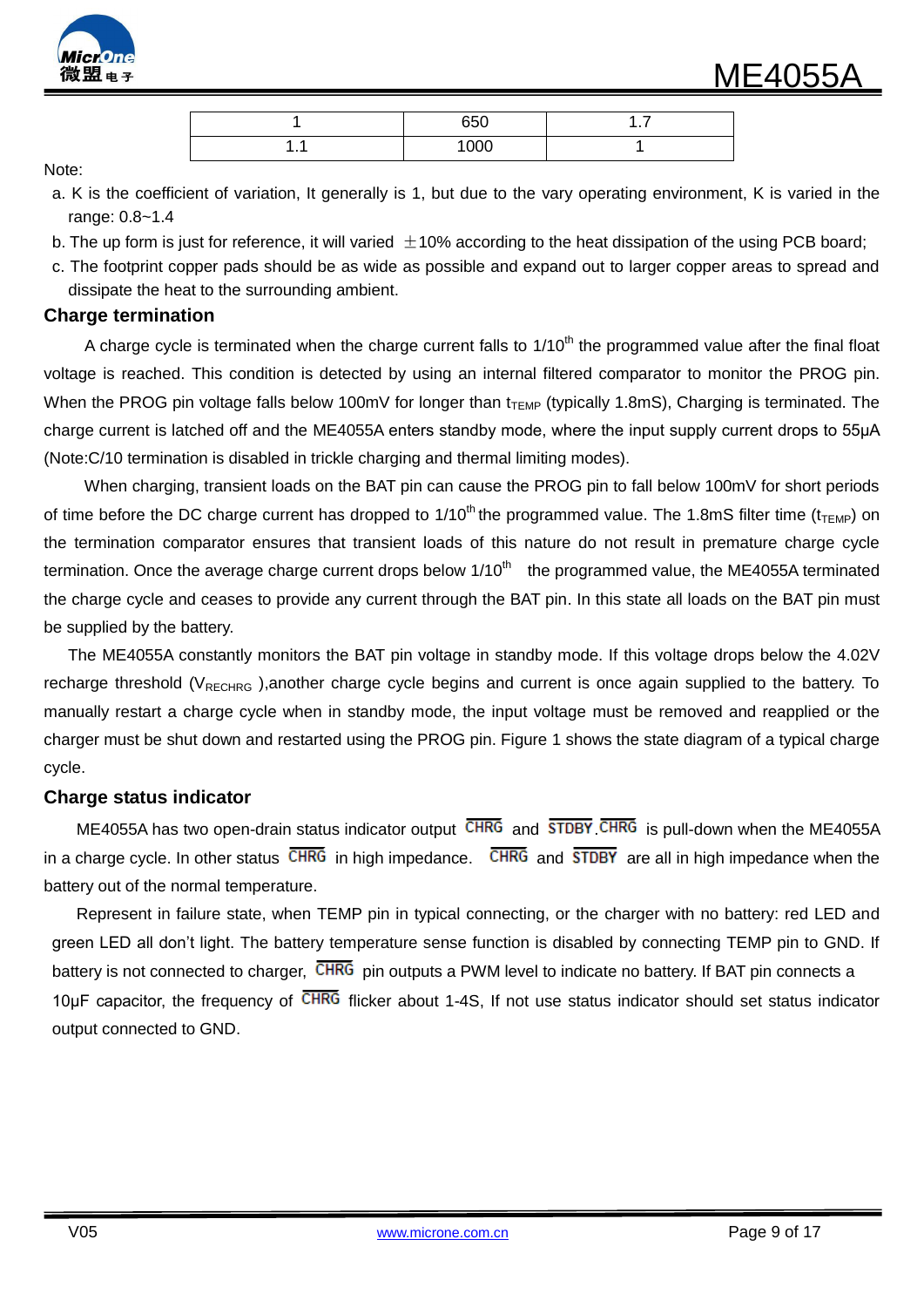

|        | 650            | . |
|--------|----------------|---|
| .<br>. | $\overline{O}$ |   |

Note:

- a. K is the coefficient of variation, It generally is 1, but due to the vary operating environment, K is varied in the range: 0.8~1.4
- b. The up form is just for reference, it will varied  $\pm$  10% according to the heat dissipation of the using PCB board;
- c. The footprint copper pads should be as wide as possible and expand out to larger copper areas to spread and dissipate the heat to the surrounding ambient.

#### **Charge termination**

A charge cycle is terminated when the charge current falls to  $1/10<sup>th</sup>$  the programmed value after the final float voltage is reached. This condition is detected by using an internal filtered comparator to monitor the PROG pin. When the PROG pin voltage falls below 100mV for longer than  $t_{\text{TEMP}}$  (typically 1.8mS), Charging is terminated. The charge current is latched off and the ME4055A enters standby mode, where the input supply current drops to 55μA (Note:C/10 termination is disabled in trickle charging and thermal limiting modes).

 When charging, transient loads on the BAT pin can cause the PROG pin to fall below 100mV for short periods of time before the DC charge current has dropped to  $1/10^{th}$  the programmed value. The 1.8mS filter time ( $t_{\text{TEMP}}$ ) on the termination comparator ensures that transient loads of this nature do not result in premature charge cycle termination. Once the average charge current drops below  $1/10<sup>th</sup>$  the programmed value, the ME4055A terminated the charge cycle and ceases to provide any current through the BAT pin. In this state all loads on the BAT pin must be supplied by the battery.

 The ME4055A constantly monitors the BAT pin voltage in standby mode. If this voltage drops below the 4.02V recharge threshold ( $V_{RECHRG}$ ),another charge cycle begins and current is once again supplied to the battery. To manually restart a charge cycle when in standby mode, the input voltage must be removed and reapplied or the charger must be shut down and restarted using the PROG pin. Figure 1 shows the state diagram of a typical charge cycle.

### **Charge status indicator**

ME4055A has two open-drain status indicator output  $\overline{\text{CHRG}}$  and  $\overline{\text{SIDBY}}$   $\overline{\text{CHRG}}$  is pull-down when the ME4055A in a charge cycle. In other status  $\overline{\text{CHRG}}$  in high impedance.  $\overline{\text{CHRG}}$  and  $\overline{\text{SIDBY}}$  are all in high impedance when the battery out of the normal temperature.

Represent in failure state, when TEMP pin in typical connecting, or the charger with no battery: red LED and green LED all don't light. The battery temperature sense function is disabled by connecting TEMP pin to GND. If battery is not connected to charger, CHRG pin outputs a PWM level to indicate no battery. If BAT pin connects a 10μF capacitor, the frequency of CHRG flicker about 1-4S, If not use status indicator should set status indicator output connected to GND.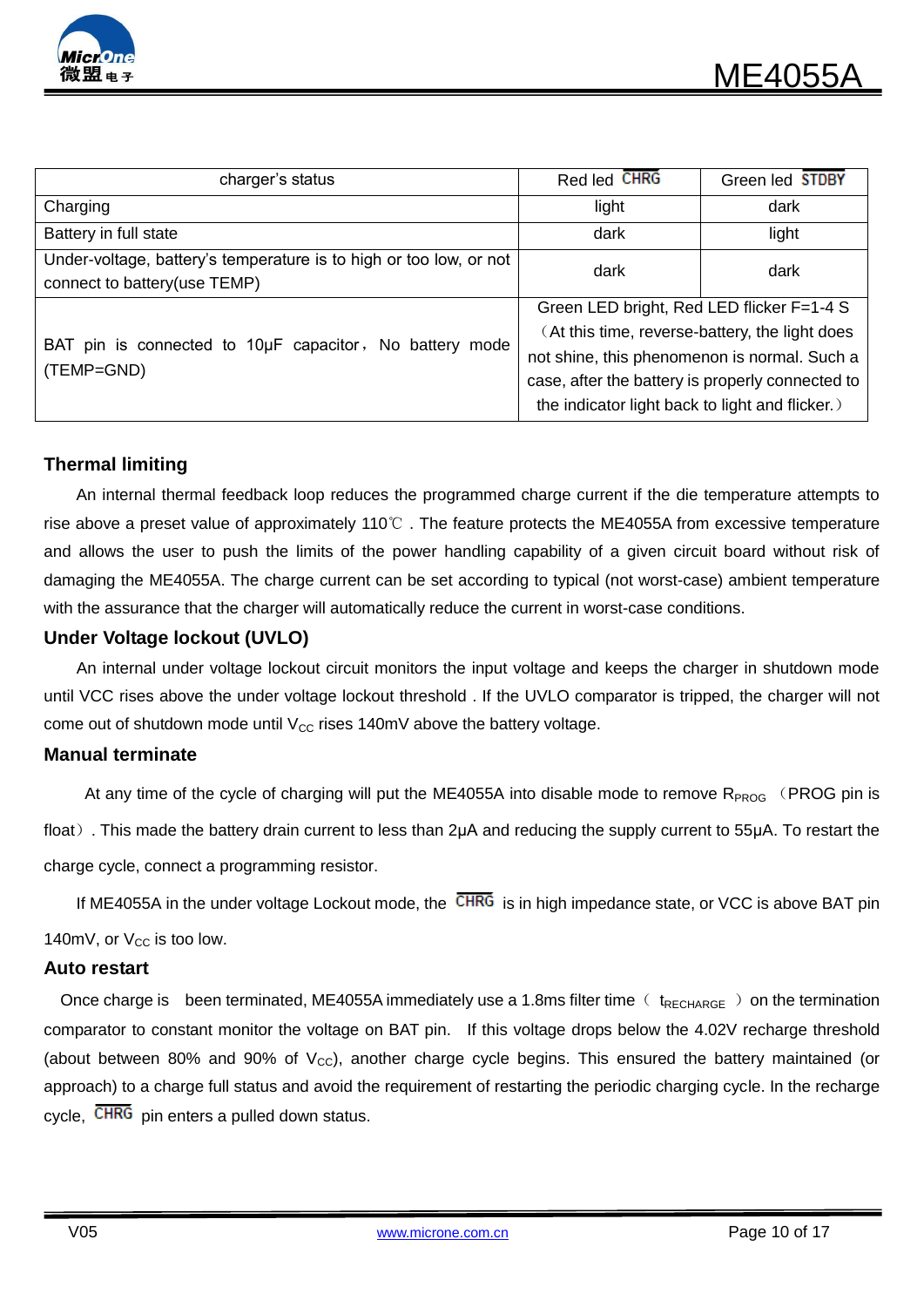

| charger's status                                                   | Red led CHRG<br>Green led STDBY                  |       |  |
|--------------------------------------------------------------------|--------------------------------------------------|-------|--|
| Charging                                                           | light                                            | dark  |  |
| Battery in full state                                              | dark                                             | light |  |
| Under-voltage, battery's temperature is to high or too low, or not | dark                                             | dark  |  |
| connect to battery(use TEMP)                                       |                                                  |       |  |
|                                                                    | Green LED bright, Red LED flicker F=1-4 S        |       |  |
|                                                                    | (At this time, reverse-battery, the light does   |       |  |
| BAT pin is connected to 10µF capacitor, No battery mode            | not shine, this phenomenon is normal. Such a     |       |  |
| (TEMP=GND)                                                         | case, after the battery is properly connected to |       |  |
|                                                                    | the indicator light back to light and flicker.)  |       |  |

### **Thermal limiting**

An internal thermal feedback loop reduces the programmed charge current if the die temperature attempts to rise above a preset value of approximately 110℃ . The feature protects the ME4055A from excessive temperature and allows the user to push the limits of the power handling capability of a given circuit board without risk of damaging the ME4055A. The charge current can be set according to typical (not worst-case) ambient temperature with the assurance that the charger will automatically reduce the current in worst-case conditions.

### **Under Voltage lockout (UVLO)**

An internal under voltage lockout circuit monitors the input voltage and keeps the charger in shutdown mode until VCC rises above the under voltage lockout threshold . If the UVLO comparator is tripped, the charger will not come out of shutdown mode until  $V_{CC}$  rises 140mV above the battery voltage.

#### **Manual terminate**

At any time of the cycle of charging will put the ME4055A into disable mode to remove  $R_{PROG}$  (PROG pin is float). This made the battery drain current to less than 2μA and reducing the supply current to 55μA. To restart the charge cycle, connect a programming resistor.

If ME4055A in the under voltage Lockout mode, the  $\overline{\text{CHRG}}$  is in high impedance state, or VCC is above BAT pin

140mV, or  $V_{CC}$  is too low.

#### **Auto restart**

Once charge is been terminated, ME4055A immediately use a 1.8ms filter time  $($  t<sub>RECHARGE</sub>  $)$  on the termination comparator to constant monitor the voltage on BAT pin. If this voltage drops below the 4.02V recharge threshold (about between 80% and 90% of  $V_{\text{cc}}$ ), another charge cycle begins. This ensured the battery maintained (or approach) to a charge full status and avoid the requirement of restarting the periodic charging cycle. In the recharge cycle, CHRG pin enters a pulled down status.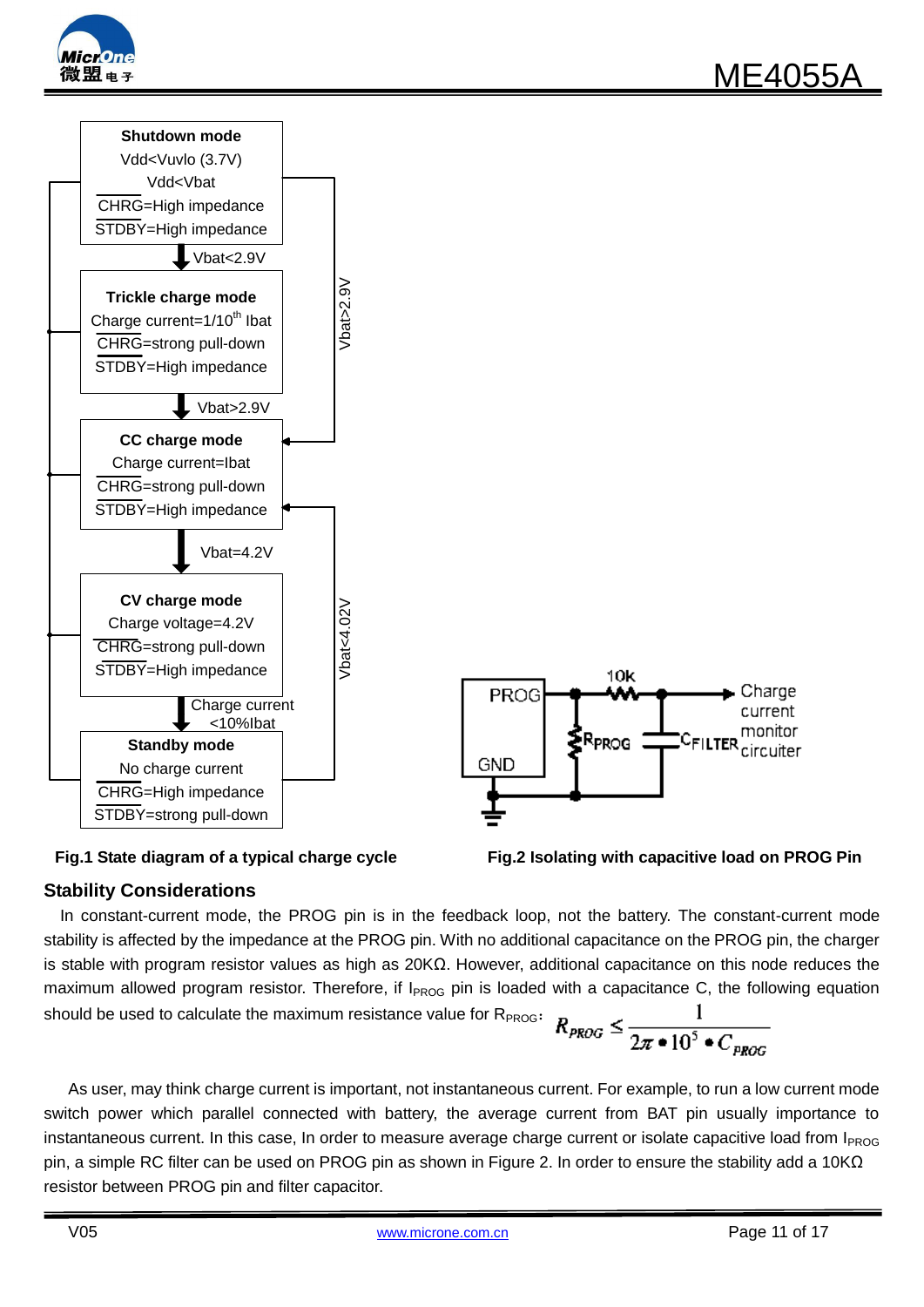





### **Stability Considerations**

In constant-current mode, the PROG pin is in the feedback loop, not the battery. The constant-current mode stability is affected by the impedance at the PROG pin. With no additional capacitance on the PROG pin, the charger is stable with program resistor values as high as 20KΩ. However, additional capacitance on this node reduces the maximum allowed program resistor. Therefore, if  $I_{PROG}$  pin is loaded with a capacitance C, the following equation should be used to calculate the maximum resistance value for R<sub>PROG</sub>:  $R_{PROG} \leq \frac{1}{2\pi \cdot 10^5 \cdot C_{PROG}}$ 

As user, may think charge current is important, not instantaneous current. For example, to run a low current mode switch power which parallel connected with battery, the average current from BAT pin usually importance to instantaneous current. In this case, In order to measure average charge current or isolate capacitive load from  $I_{PROG}$ pin, a simple RC filter can be used on PROG pin as shown in Figure 2. In order to ensure the stability add a 10KΩ resistor between PROG pin and filter capacitor.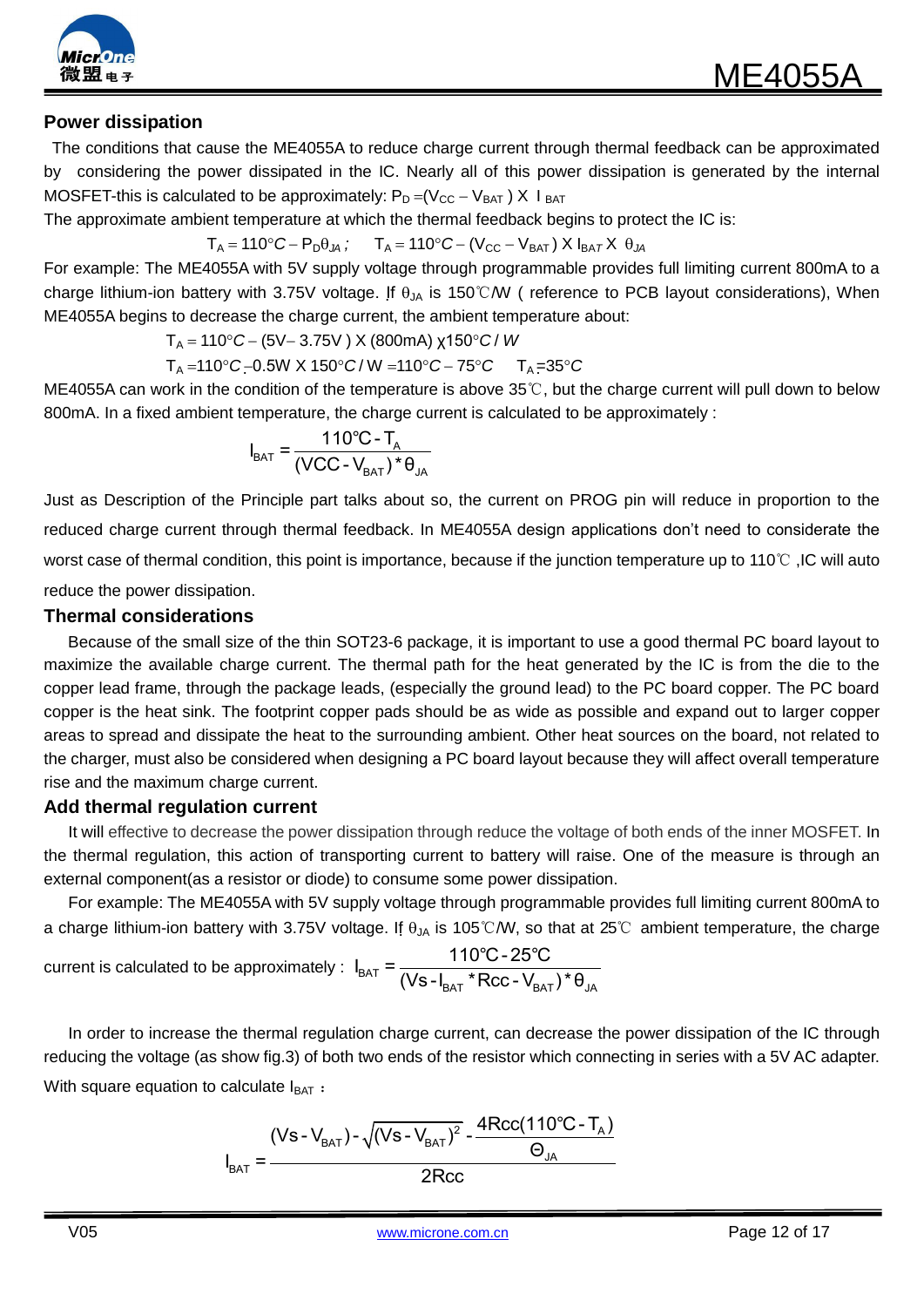

### **Power dissipation**

The conditions that cause the ME4055A to reduce charge current through thermal feedback can be approximated by considering the power dissipated in the IC. Nearly all of this power dissipation is generated by the internal MOSFET-this is calculated to be approximately:  $P_D = (V_{CC} - V_{BAT}) \times I_{BAT}$ 

The approximate ambient temperature at which the thermal feedback begins to protect the IC is:

 $T_A = 110^\circ C - P_D \theta_{JA}$ ;  $T_A = 110^\circ C - (V_{CC} - V_{BAT}) X I_{BAT} X \theta_{JA}$ 

For example: The ME4055A with 5V supply voltage through programmable provides full limiting current 800mA to a charge lithium-ion battery with 3.75V voltage. If  $\theta_{JA}$  is 150°C/W ( reference to PCB layout considerations), When ME4055A begins to decrease the charge current, the ambient temperature about:

 $T_A = 110°C - (5V - 3.75V)$  X (800mA) χ150<sup>°</sup> C/ *W* 

 $T_A = 110^{\circ}C - 0.5W$  X  $150^{\circ}C/W = 110^{\circ}C - 75^{\circ}C$   $T_A = 35^{\circ}C$ 

ME4055A can work in the condition of the temperature is above 35℃, but the charge current will pull down to below 800mA. In a fixed ambient temperature, the charge current is calculated to be approximately :

$$
I_{BAT} = \frac{110^{\circ}C - T_{A}}{(VCC - V_{BAT})^{\ast} \theta_{JA}}
$$

Just as Description of the Principle part talks about so, the current on PROG pin will reduce in proportion to the reduced charge current through thermal feedback. In ME4055A design applications don't need to considerate the worst case of thermal condition, this point is importance, because if the junction temperature up to 110℃ ,IC will auto reduce the power dissipation.

#### **Thermal considerations**

 Because of the small size of the thin SOT23-6 package, it is important to use a good thermal PC board layout to maximize the available charge current. The thermal path for the heat generated by the IC is from the die to the copper lead frame, through the package leads, (especially the ground lead) to the PC board copper. The PC board copper is the heat sink. The footprint copper pads should be as wide as possible and expand out to larger copper areas to spread and dissipate the heat to the surrounding ambient. Other heat sources on the board, not related to the charger, must also be considered when designing a PC board layout because they will affect overall temperature rise and the maximum charge current.

#### **Add thermal regulation current**

 It will effective to decrease the power dissipation through reduce the voltage of both ends of the inner MOSFET. In the thermal regulation, this action of transporting current to battery will raise. One of the measure is through an external component(as a resistor or diode) to consume some power dissipation.

For example: The ME4055A with 5V supply voltage through programmable provides full limiting current 800mA to a charge lithium-ion battery with 3.75V voltage. If  $\theta_{JA}$  is 105°C/W, so that at 25°C ambient temperature, the charge tage. it θ<sub>JA</sub> is 105 C/W, so t<br>I<sub>BAT</sub> =  $\frac{110^{\circ}C - 25^{\circ}C}{(16C + 1 + 5C)C}$ 

current is calculated to be approximately :  $I_{BAT} = \frac{1.10 \text{ C}}{(Vs - I_{BAT} * Rcc - V_{BAT}) * θ_{JA}}$  $\frac{110^\circ \text{C - 25}^\circ \text{C}}{\text{(Vs - I}_{\text{BAT}}* \text{Rcc - V}_{\text{BAT}})^* \theta}$ 

In order to increase the thermal regulation charge current, can decrease the power dissipation of the IC through reducing the voltage (as show fig.3) of both two ends of the resistor which connecting in series with a 5V AC adapter. With square equation to calculate  $I<sub>BAT</sub>$ :

calculate I<sub>BAT</sub> :  
\n
$$
I_{BAT} = \frac{(Vs - V_{BAT}) - \sqrt{(Vs - V_{BAT})^2} - \frac{4Rcc(110^{\circ}C - T_A)}{\Theta_{JA}}}{2Rcc}
$$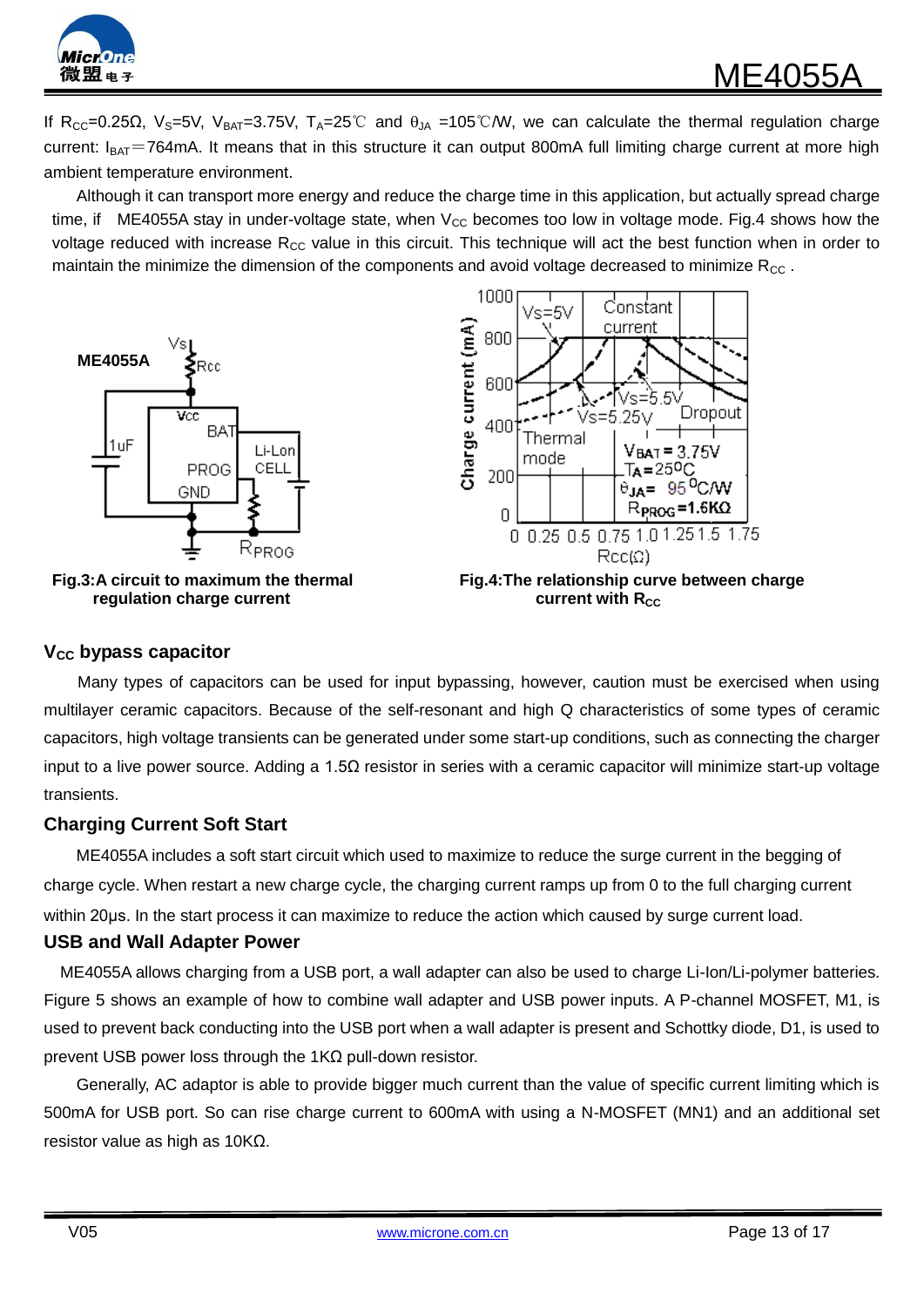

If R<sub>CC</sub>=0.25Ω, V<sub>S</sub>=5V, V<sub>BAT</sub>=3.75V, T<sub>A</sub>=25<sup>°</sup>C and  $\theta_{JA}$  =105<sup>°</sup>C/W, we can calculate the thermal regulation charge current:  $I_{BAT}$ =764mA. It means that in this structure it can output 800mA full limiting charge current at more high ambient temperature environment.

Although it can transport more energy and reduce the charge time in this application, but actually spread charge time, if ME4055A stay in under-voltage state, when  $V_{CC}$  becomes too low in voltage mode. Fig.4 shows how the voltage reduced with increase R<sub>CC</sub> value in this circuit. This technique will act the best function when in order to maintain the minimize the dimension of the components and avoid voltage decreased to minimize  $R_{CC}$ .







#### **VCC bypass capacitor**

Many types of capacitors can be used for input bypassing, however, caution must be exercised when using multilayer ceramic capacitors. Because of the self-resonant and high Q characteristics of some types of ceramic capacitors, high voltage transients can be generated under some start-up conditions, such as connecting the charger input to a live power source. Adding a 1.5 $\Omega$  resistor in series with a ceramic capacitor will minimize start-up voltage transients.

#### **Charging Current Soft Start**

 ME4055A includes a soft start circuit which used to maximize to reduce the surge current in the begging of charge cycle. When restart a new charge cycle, the charging current ramps up from 0 to the full charging current within 20μs. In the start process it can maximize to reduce the action which caused by surge current load.

#### **USB and Wall Adapter Power**

 ME4055A allows charging from a USB port, a wall adapter can also be used to charge Li-Ion/Li-polymer batteries. Figure 5 shows an example of how to combine wall adapter and USB power inputs. A P-channel MOSFET, M1, is used to prevent back conducting into the USB port when a wall adapter is present and Schottky diode, D1, is used to prevent USB power loss through the 1KΩ pull-down resistor.

Generally, AC adaptor is able to provide bigger much current than the value of specific current limiting which is 500mA for USB port. So can rise charge current to 600mA with using a N-MOSFET (MN1) and an additional set resistor value as high as 10KΩ.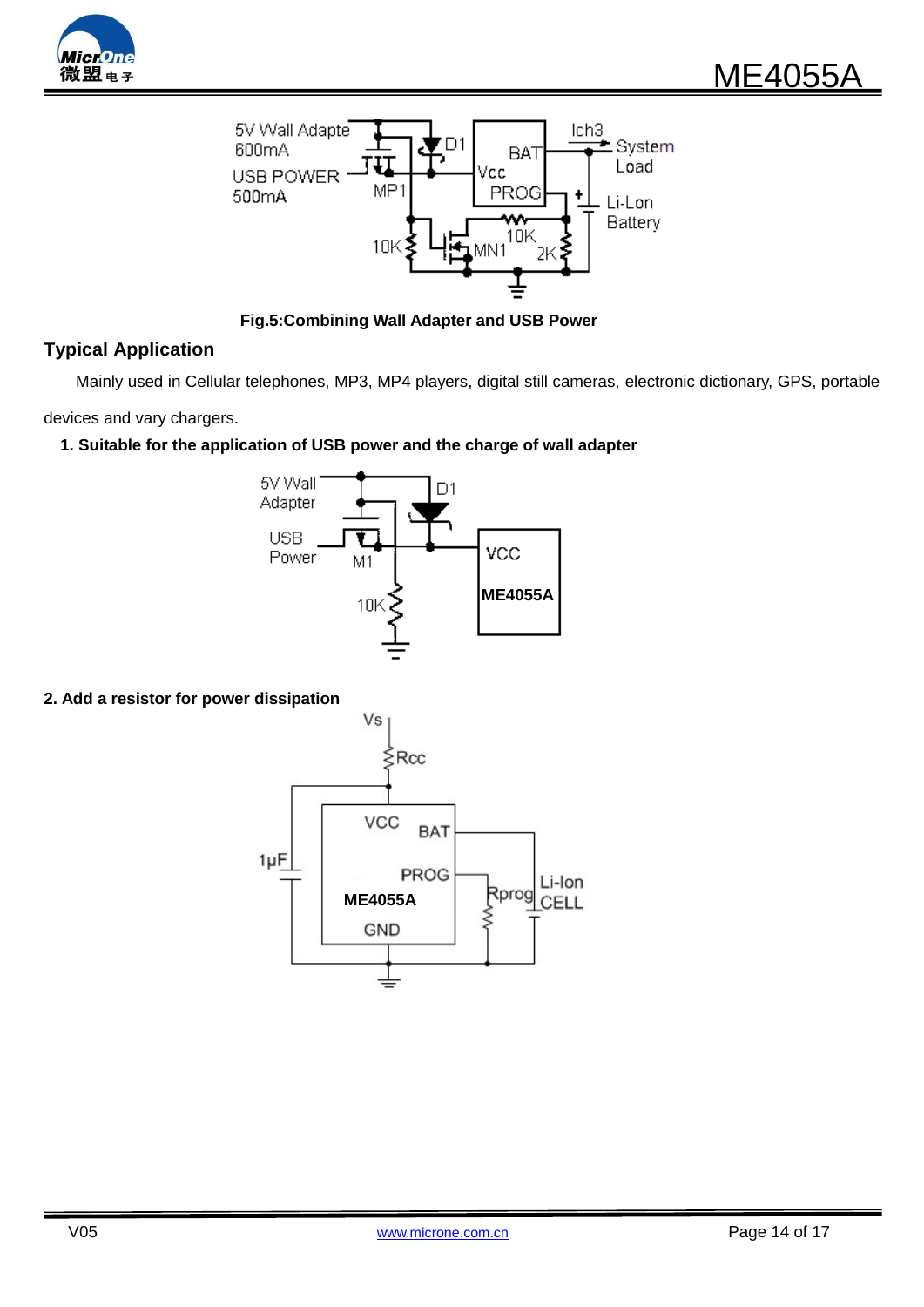



 **Fig.5:Combining Wall Adapter and USB Power**

### **Typical Application**

Mainly used in Cellular telephones, MP3, MP4 players, digital still cameras, electronic dictionary, GPS, portable

devices and vary chargers.

**1. Suitable for the application of USB power and the charge of wall adapter**



#### **2. Add a resistor for power dissipation**

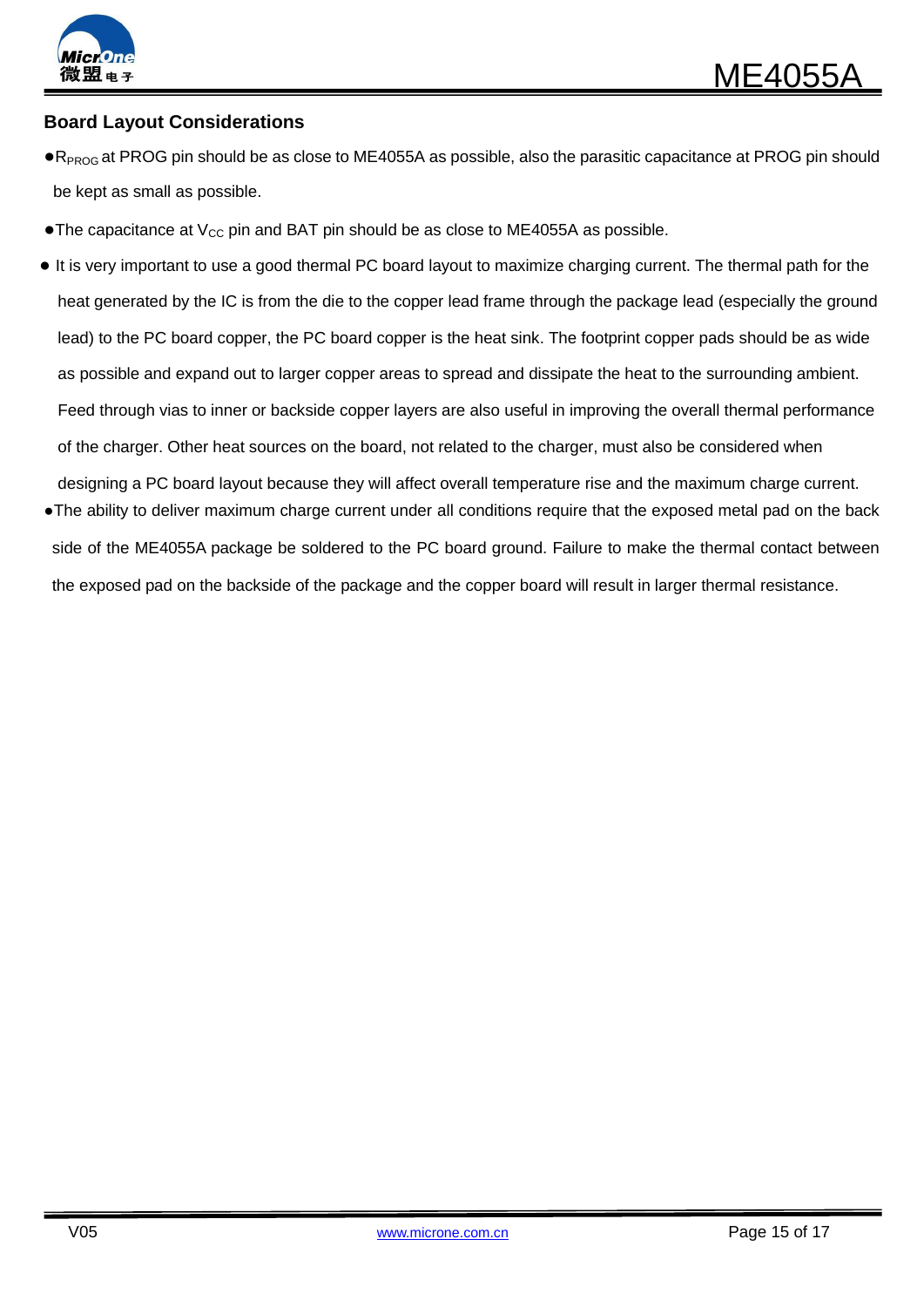

### **Board Layout Considerations**

- ●R<sub>PROG</sub> at PROG pin should be as close to ME4055A as possible, also the parasitic capacitance at PROG pin should be kept as small as possible.
- •The capacitance at  $V_{CC}$  pin and BAT pin should be as close to ME4055A as possible.
- It is very important to use a good thermal PC board layout to maximize charging current. The thermal path for the heat generated by the IC is from the die to the copper lead frame through the package lead (especially the ground lead) to the PC board copper, the PC board copper is the heat sink. The footprint copper pads should be as wide as possible and expand out to larger copper areas to spread and dissipate the heat to the surrounding ambient. Feed through vias to inner or backside copper layers are also useful in improving the overall thermal performance of the charger. Other heat sources on the board, not related to the charger, must also be considered when designing a PC board layout because they will affect overall temperature rise and the maximum charge current.
- ●The ability to deliver maximum charge current under all conditions require that the exposed metal pad on the back side of the ME4055A package be soldered to the PC board ground. Failure to make the thermal contact between the exposed pad on the backside of the package and the copper board will result in larger thermal resistance.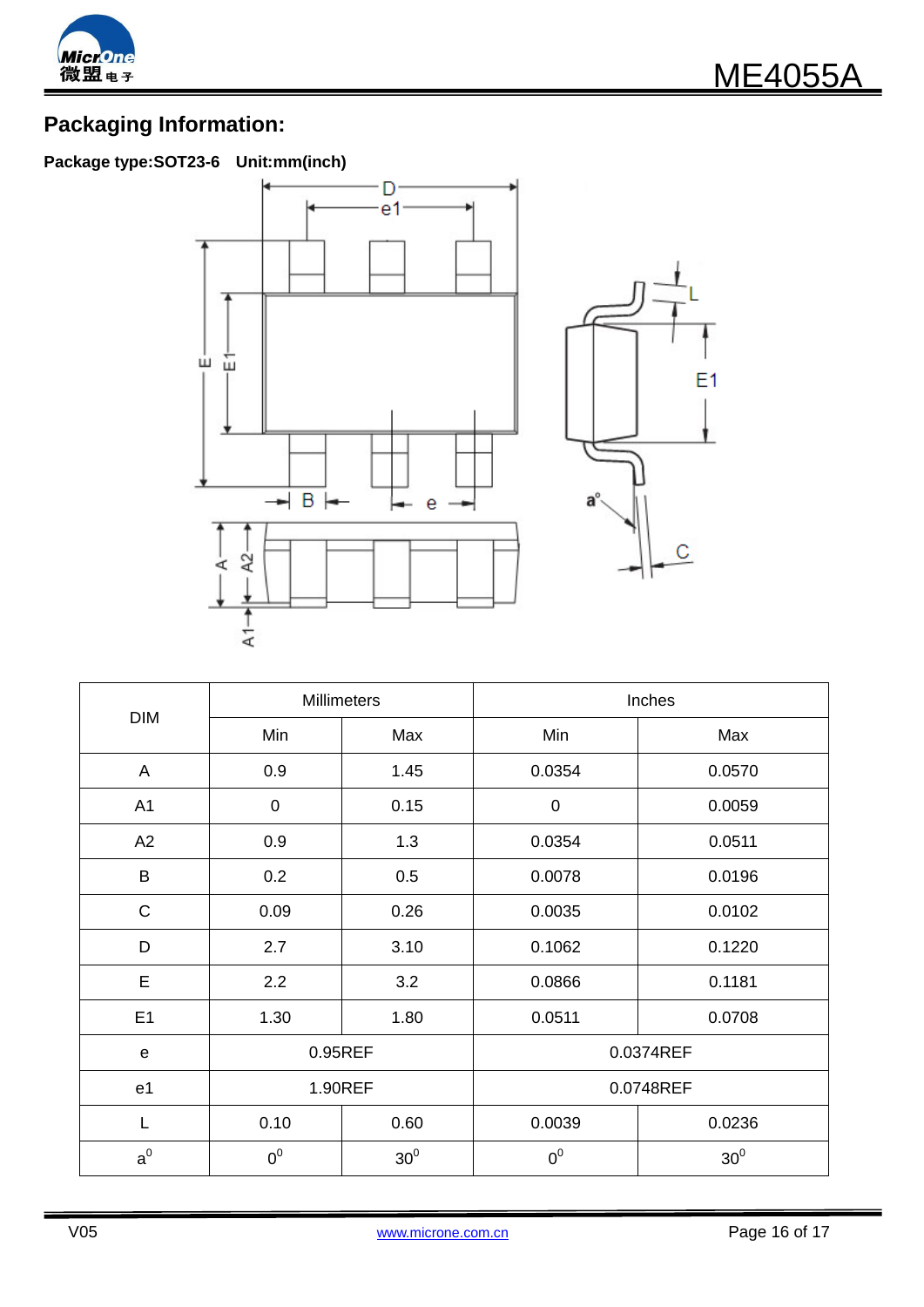

# **Packaging Information:**

# **Package type:SOT23-6 Unit:mm(inch)**



| <b>DIM</b>     | Millimeters    |                 | Inches         |                 |  |
|----------------|----------------|-----------------|----------------|-----------------|--|
|                | Min            | Max             | Min            | Max             |  |
| $\mathsf{A}$   | 0.9            | 1.45            | 0.0354         | 0.0570          |  |
| A1             | $\pmb{0}$      | 0.15            | $\mathbf 0$    | 0.0059          |  |
| A2             | 0.9            | 1.3             | 0.0354         | 0.0511          |  |
| B              | 0.2            | 0.5             | 0.0078         | 0.0196          |  |
| $\mathsf C$    | 0.09           | 0.26            | 0.0035         | 0.0102          |  |
| D              | 2.7            | 3.10            | 0.1062         | 0.1220          |  |
| E              | 2.2            | 3.2             | 0.0866         | 0.1181          |  |
| E1             | 1.30           | 1.80            | 0.0511         | 0.0708          |  |
| ${\bf e}$      | 0.95REF        |                 | 0.0374REF      |                 |  |
| e <sub>1</sub> | 1.90REF        |                 | 0.0748REF      |                 |  |
| L              | 0.10           | 0.60            | 0.0039         | 0.0236          |  |
| $a^0$          | 0 <sup>0</sup> | 30 <sup>0</sup> | 0 <sup>0</sup> | 30 <sup>0</sup> |  |